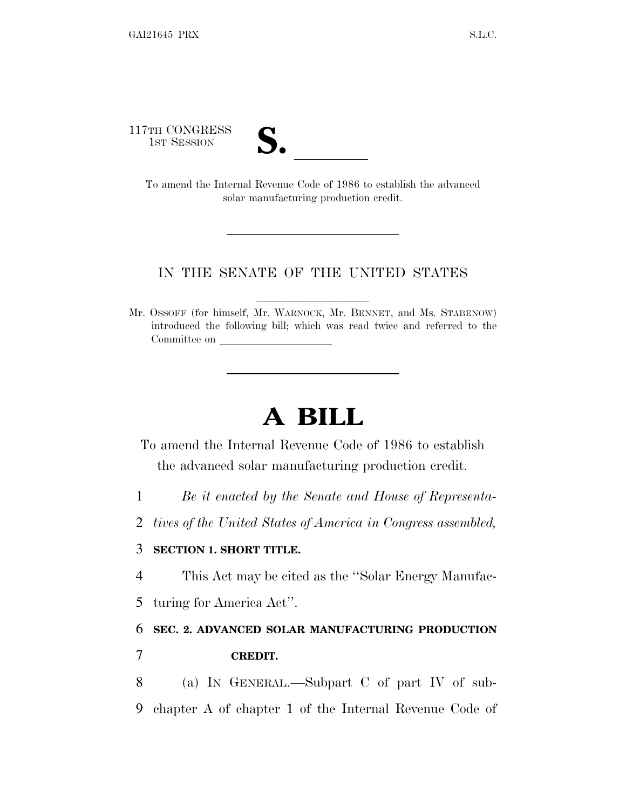117TH CONGRESS



TH CONGRESS<br>
1ST SESSION<br>
To amend the Internal Revenue Code of 1986 to establish the advanced solar manufacturing production credit.

#### IN THE SENATE OF THE UNITED STATES

Mr. OSSOFF (for himself, Mr. WARNOCK, Mr. BENNET, and Ms. STABENOW) introduced the following bill; which was read twice and referred to the Committee on

# **A BILL**

To amend the Internal Revenue Code of 1986 to establish the advanced solar manufacturing production credit.

- 1 *Be it enacted by the Senate and House of Representa-*
- 2 *tives of the United States of America in Congress assembled,*

#### 3 **SECTION 1. SHORT TITLE.**

4 This Act may be cited as the ''Solar Energy Manufac-

5 turing for America Act''.

### 6 **SEC. 2. ADVANCED SOLAR MANUFACTURING PRODUCTION**

- 7 **CREDIT.**
- 8 (a) I<sup>N</sup> GENERAL.—Subpart C of part IV of sub-9 chapter A of chapter 1 of the Internal Revenue Code of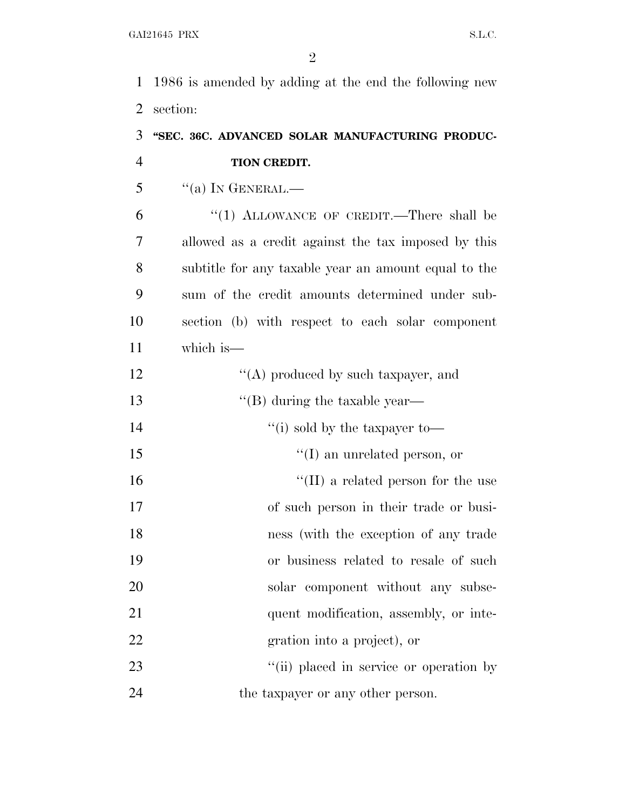1986 is amended by adding at the end the following new section:

## **''SEC. 36C. ADVANCED SOLAR MANUFACTURING PRODUC-TION CREDIT.**

"(a) In GENERAL.—

 ''(1) ALLOWANCE OF CREDIT.—There shall be allowed as a credit against the tax imposed by this subtitle for any taxable year an amount equal to the sum of the credit amounts determined under sub- section (b) with respect to each solar component which is—

| 12 | $\lq\lq$ produced by such taxpayer, and    |
|----|--------------------------------------------|
| 13 | $\lq\lq (B)$ during the taxable year—      |
| 14 | "(i) sold by the taxpayer to-              |
| 15 | $\lq\lq$ (I) an unrelated person, or       |
| 16 | $\lq\lq$ (II) a related person for the use |
| 17 | of such person in their trade or busi-     |
| 18 | ness (with the exception of any trade      |
| 19 | or business related to resale of such      |
| 20 | solar component without any subse-         |
| 21 | quent modification, assembly, or inte-     |
| 22 | gration into a project), or                |
| 23 | "(ii) placed in service or operation by    |

24 the taxpayer or any other person.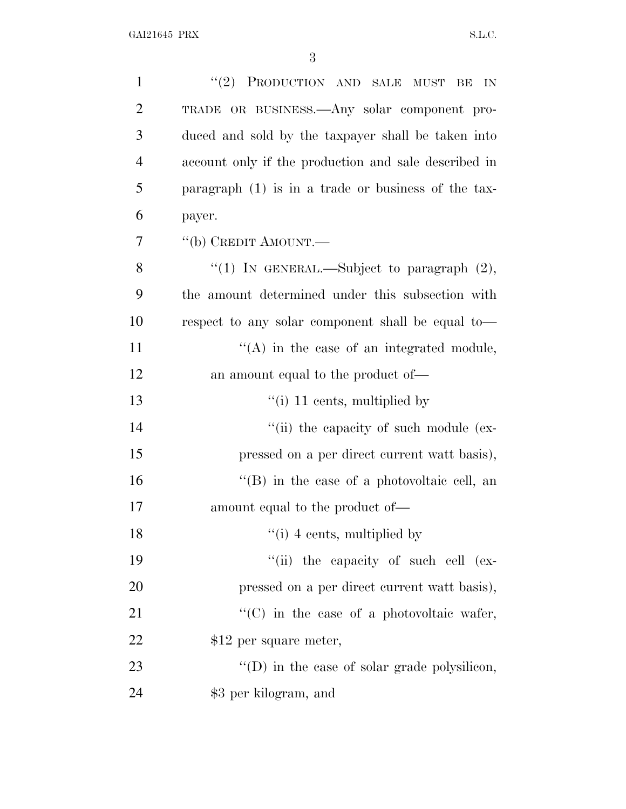| $\mathbf{1}$   | "(2) PRODUCTION AND SALE MUST BE<br>IN                |
|----------------|-------------------------------------------------------|
| $\overline{2}$ | TRADE OR BUSINESS.—Any solar component pro-           |
| 3              | duced and sold by the taxpayer shall be taken into    |
| $\overline{4}$ | account only if the production and sale described in  |
| 5              | paragraph $(1)$ is in a trade or business of the tax- |
| 6              | payer.                                                |
| 7              | "(b) CREDIT AMOUNT.—                                  |
| 8              | "(1) IN GENERAL.—Subject to paragraph $(2)$ ,         |
| 9              | the amount determined under this subsection with      |
| 10             | respect to any solar component shall be equal to—     |
| 11             | $\lq\lq$ in the case of an integrated module,         |
| 12             | an amount equal to the product of—                    |
| 13             | $\lq$ <sup>"</sup> (i) 11 cents, multiplied by        |
| 14             | "(ii) the capacity of such module (ex-                |
| 15             | pressed on a per direct current watt basis),          |
| 16             | $\lq\lq (B)$ in the case of a photovoltaic cell, an   |
| 17             | amount equal to the product of—                       |
| 18             | $\lq$ <sup>"</sup> (i) 4 cents, multiplied by         |
| 19             | "(ii) the capacity of such cell (ex-                  |
| 20             | pressed on a per direct current watt basis),          |
| 21             | "(C) in the case of a photovoltaic wafer,             |
| 22             | \$12 per square meter,                                |
| 23             | $\lq\lq$ (D) in the case of solar grade polysilicon,  |
| 24             | \$3 per kilogram, and                                 |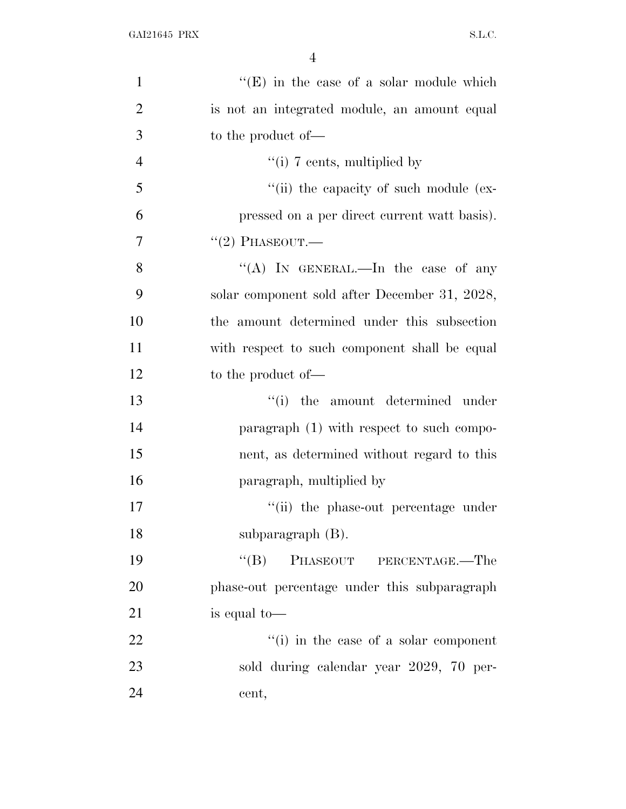| $\mathbf{1}$   | $\lq\lq(E)$ in the case of a solar module which |
|----------------|-------------------------------------------------|
| $\overline{2}$ | is not an integrated module, an amount equal    |
| 3              | to the product of—                              |
| $\overline{4}$ | "(i) 7 cents, multiplied by                     |
| 5              | "(ii) the capacity of such module (ex-          |
| 6              | pressed on a per direct current watt basis).    |
| $\overline{7}$ | $``(2)$ PHASEOUT.—                              |
| 8              | "(A) IN GENERAL.—In the case of any             |
| 9              | solar component sold after December 31, 2028,   |
| 10             | the amount determined under this subsection     |
| 11             | with respect to such component shall be equal   |
| 12             | to the product of-                              |
| 13             | "(i) the amount determined under                |
| 14             | paragraph (1) with respect to such compo-       |
| 15             | nent, as determined without regard to this      |
| 16             | paragraph, multiplied by                        |
| 17             | "(ii) the phase-out percentage under            |
| 18             | subparagraph $(B)$ .                            |
| 19             | PHASEOUT PERCENTAGE.—The<br>$\lq\lq (B)$        |
| 20             | phase-out percentage under this subparagraph    |
| 21             | is equal to—                                    |
| 22             | "(i) in the case of a solar component           |
| 23             | sold during calendar year 2029, 70 per-         |
| 24             | cent,                                           |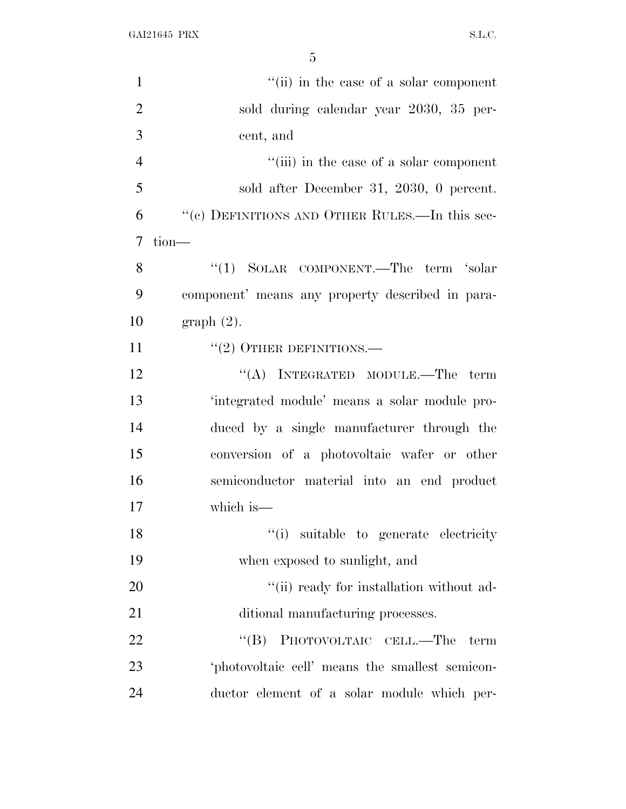GAI21645 PRX S.L.C.

| $\mathbf{1}$   | "(ii) in the case of a solar component           |
|----------------|--------------------------------------------------|
| $\overline{2}$ | sold during calendar year 2030, 35 per-          |
| 3              | cent, and                                        |
| $\overline{4}$ | "(iii) in the case of a solar component          |
| 5              | sold after December 31, 2030, 0 percent.         |
| 6              | "(c) DEFINITIONS AND OTHER RULES.—In this sec-   |
| $\overline{7}$ | tion-                                            |
| 8              | "(1) SOLAR COMPONENT.—The term 'solar            |
| 9              | component' means any property described in para- |
| 10             | graph(2).                                        |
| 11             | $``(2)$ OTHER DEFINITIONS.—                      |
| 12             | $\lq\lq$ (A) INTEGRATED MODULE.—The term         |
| 13             | 'integrated module' means a solar module pro-    |
| 14             | duced by a single manufacturer through the       |
| 15             | conversion of a photovoltaic wafer or other      |
| 16             | semiconductor material into an end product       |
| 17             | which is-                                        |
| 18             | "(i) suitable to generate electricity            |
| 19             | when exposed to sunlight, and                    |
| 20             | "(ii) ready for installation without ad-         |
| 21             | ditional manufacturing processes.                |
| 22             | PHOTOVOLTAIC CELL.-The<br>$\lq\lq (B)$<br>term   |
| 23             | 'photovoltaic cell' means the smallest semicon-  |
| 24             | ductor element of a solar module which per-      |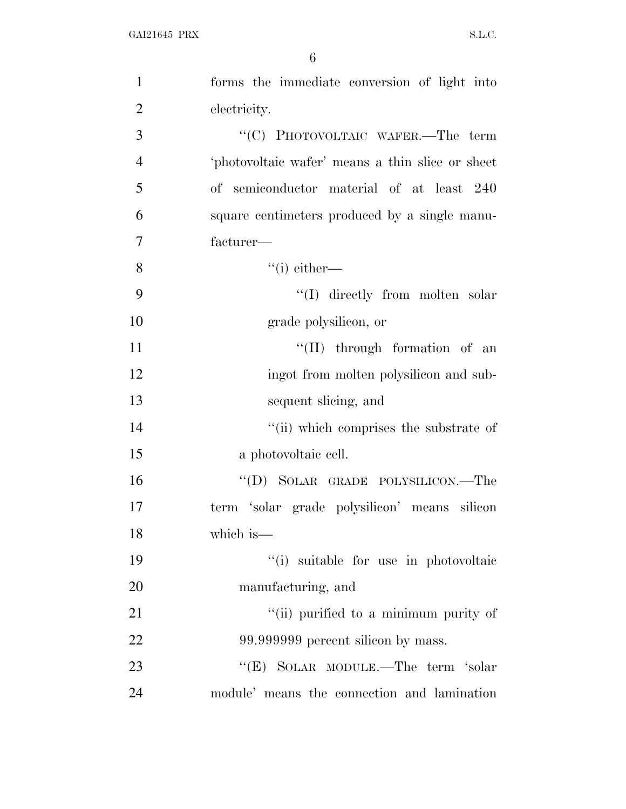| $\mathbf{1}$   | forms the immediate conversion of light into     |
|----------------|--------------------------------------------------|
| $\overline{2}$ | electricity.                                     |
| 3              | "(C) PHOTOVOLTAIC WAFER.—The term                |
| $\overline{4}$ | 'photovoltaic wafer' means a thin slice or sheet |
| 5              | of semiconductor material of at least 240        |
| 6              | square centimeters produced by a single manu-    |
| 7              | facturer—                                        |
| 8              | $``(i)$ either—                                  |
| 9              | $\lq\lq$ directly from molten solar              |
| 10             | grade polysilicon, or                            |
| 11             | $\lq\lq$ (II) through formation of an            |
| 12             | ingot from molten polysilicon and sub-           |
| 13             | sequent slicing, and                             |
| 14             | "(ii) which comprises the substrate of           |
| 15             | a photovoltaic cell.                             |
| 16             | "(D) SOLAR GRADE POLYSILICON.—The                |
| 17             | term 'solar grade polysilicon' means silicon     |
| 18             | which is—                                        |
| 19             | "(i) suitable for use in photovoltaic            |
| 20             | manufacturing, and                               |
| 21             | "(ii) purified to a minimum purity of            |
| 22             | 99.999999 percent silicon by mass.               |
| 23             | "(E) SOLAR MODULE.—The term 'solar               |
| 24             | module' means the connection and lamination      |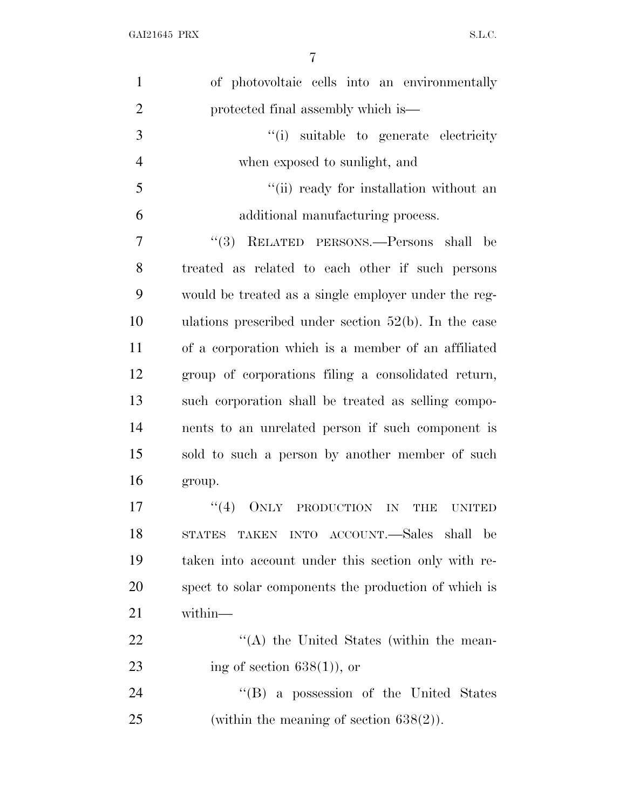| of photovoltaic cells into an environmentally                  |
|----------------------------------------------------------------|
|                                                                |
| protected final assembly which is—                             |
| "(i) suitable to generate electricity                          |
| when exposed to sunlight, and                                  |
| "(ii) ready for installation without an                        |
| additional manufacturing process.                              |
| RELATED PERSONS.—Persons shall be<br>(3)                       |
| treated as related to each other if such persons               |
| would be treated as a single employer under the reg-           |
| ulations prescribed under section $52(b)$ . In the case        |
| of a corporation which is a member of an affiliated            |
| group of corporations filing a consolidated return,            |
| such corporation shall be treated as selling compo-            |
| nents to an unrelated person if such component is              |
| sold to such a person by another member of such                |
| group.                                                         |
| (4)<br><b>ONLY</b><br>PRODUCTION<br>IN<br>THB<br><b>UNITED</b> |
| TAKEN INTO ACCOUNT.—Sales shall be<br><b>STATES</b>            |
| taken into account under this section only with re-            |
| spect to solar components the production of which is           |
| within-                                                        |
| $\lq\lq$ the United States (within the mean-                   |
| ing of section $638(1)$ , or                                   |
| "(B) a possession of the United States                         |
| (within the meaning of section $638(2)$ ).                     |
|                                                                |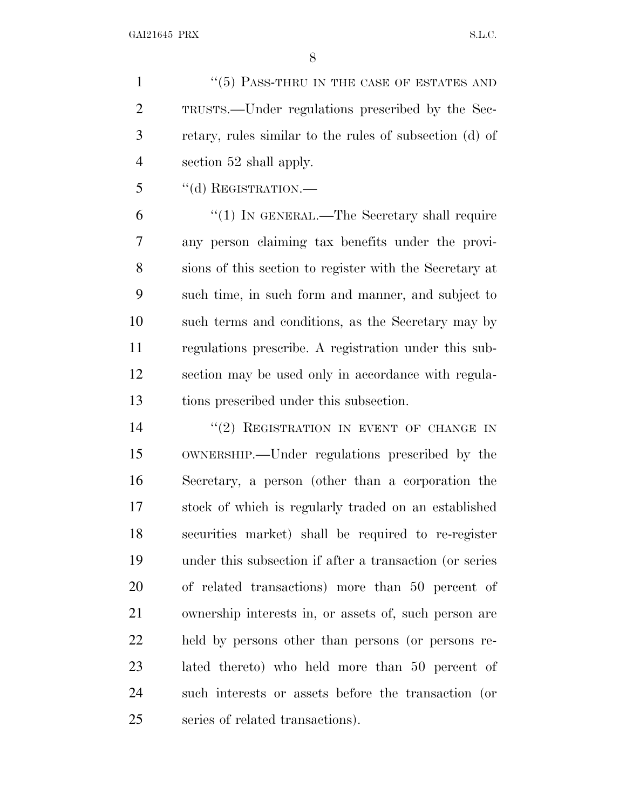1 "(5) PASS-THRU IN THE CASE OF ESTATES AND TRUSTS.—Under regulations prescribed by the Sec- retary, rules similar to the rules of subsection (d) of section 52 shall apply.

''(d) REGISTRATION.—

 ''(1) IN GENERAL.—The Secretary shall require any person claiming tax benefits under the provi- sions of this section to register with the Secretary at such time, in such form and manner, and subject to such terms and conditions, as the Secretary may by regulations prescribe. A registration under this sub- section may be used only in accordance with regula-tions prescribed under this subsection.

14 "(2) REGISTRATION IN EVENT OF CHANGE IN OWNERSHIP.—Under regulations prescribed by the Secretary, a person (other than a corporation the stock of which is regularly traded on an established securities market) shall be required to re-register under this subsection if after a transaction (or series of related transactions) more than 50 percent of ownership interests in, or assets of, such person are held by persons other than persons (or persons re- lated thereto) who held more than 50 percent of such interests or assets before the transaction (or series of related transactions).